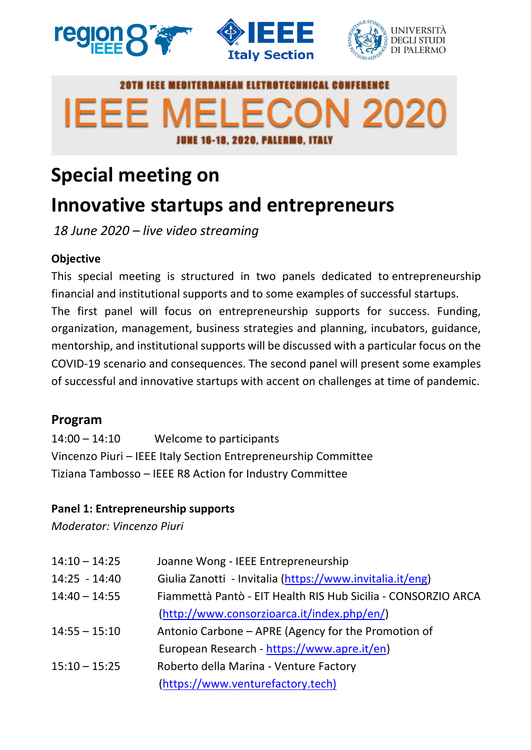





# **E MEDITERRANEAN ELETROTECHNICAL CONF IEEE MELECON 2020 JUNE 16-18, 2020, PALERMO, ITALY**

# **Special meeting on**

## **Innovative startups and entrepreneurs**

*18 June 2020 – live video streaming*

### **Objective**

This special meeting is structured in two panels dedicated to entrepreneurship financial and institutional supports and to some examples of successful startups. The first panel will focus on entrepreneurship supports for success. Funding, organization, management, business strategies and planning, incubators, guidance, mentorship, and institutional supports will be discussed with a particular focus on the COVID-19 scenario and consequences. The second panel will present some examples of successful and innovative startups with accent on challenges at time of pandemic.

### **Program**

14:00 – 14:10 Welcome to participants Vincenzo Piuri – IEEE Italy Section Entrepreneurship Committee Tiziana Tambosso – IEEE R8 Action for Industry Committee

#### **Panel 1: Entrepreneurship supports**

*Moderator: Vincenzo Piuri*

| $14:10 - 14:25$ | Joanne Wong - IEEE Entrepreneurship                           |
|-----------------|---------------------------------------------------------------|
| $14:25 - 14:40$ | Giulia Zanotti - Invitalia (https://www.invitalia.it/eng)     |
| $14:40 - 14:55$ | Fiammettà Pantò - EIT Health RIS Hub Sicilia - CONSORZIO ARCA |
|                 | $(http://www.consorzioarca.it/index.php/en/)$                 |
| $14:55 - 15:10$ | Antonio Carbone – APRE (Agency for the Promotion of           |
|                 | European Research - https://www.apre.it/en)                   |
| $15:10 - 15:25$ | Roberto della Marina - Venture Factory                        |
|                 | (https://www.venturefactory.tech)                             |